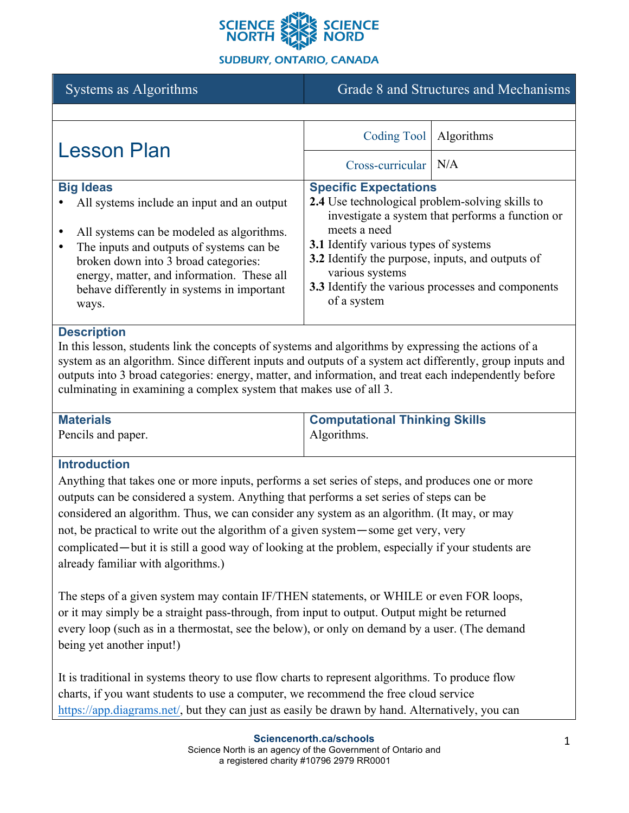

# Systems as Algorithms Grade 8 and Structures and Mechanisms

| <b>Lesson Plan</b>                                                                                                                                                                                                                                                                           | Coding Tool                                                                                                                                                                                                                                                                                                                     | <b>Algorithms</b> |
|----------------------------------------------------------------------------------------------------------------------------------------------------------------------------------------------------------------------------------------------------------------------------------------------|---------------------------------------------------------------------------------------------------------------------------------------------------------------------------------------------------------------------------------------------------------------------------------------------------------------------------------|-------------------|
|                                                                                                                                                                                                                                                                                              | Cross-curricular                                                                                                                                                                                                                                                                                                                | N/A               |
| <b>Big Ideas</b><br>All systems include an input and an output<br>All systems can be modeled as algorithms.<br>The inputs and outputs of systems can be.<br>broken down into 3 broad categories:<br>energy, matter, and information. These all<br>behave differently in systems in important | <b>Specific Expectations</b><br>2.4 Use technological problem-solving skills to<br>investigate a system that performs a function or<br>meets a need<br><b>3.1</b> Identify various types of systems<br>3.2 Identify the purpose, inputs, and outputs of<br>various systems<br>3.3 Identify the various processes and components |                   |
| ways.                                                                                                                                                                                                                                                                                        | of a system                                                                                                                                                                                                                                                                                                                     |                   |

#### **Description**

In this lesson, students link the concepts of systems and algorithms by expressing the actions of a system as an algorithm. Since different inputs and outputs of a system act differently, group inputs and outputs into 3 broad categories: energy, matter, and information, and treat each independently before culminating in examining a complex system that makes use of all 3.

| <b>Materials</b>   | <b>Computational Thinking Skills</b> |
|--------------------|--------------------------------------|
| Pencils and paper. | Algorithms.                          |

## **Introduction**

Anything that takes one or more inputs, performs a set series of steps, and produces one or more outputs can be considered a system. Anything that performs a set series of steps can be considered an algorithm. Thus, we can consider any system as an algorithm. (It may, or may not, be practical to write out the algorithm of a given system—some get very, very complicated—but it is still a good way of looking at the problem, especially if your students are already familiar with algorithms.)

The steps of a given system may contain IF/THEN statements, or WHILE or even FOR loops, or it may simply be a straight pass-through, from input to output. Output might be returned every loop (such as in a thermostat, see the below), or only on demand by a user. (The demand being yet another input!)

It is traditional in systems theory to use flow charts to represent algorithms. To produce flow charts, if you want students to use a computer, we recommend the free cloud service https://app.diagrams.net/, but they can just as easily be drawn by hand. Alternatively, you can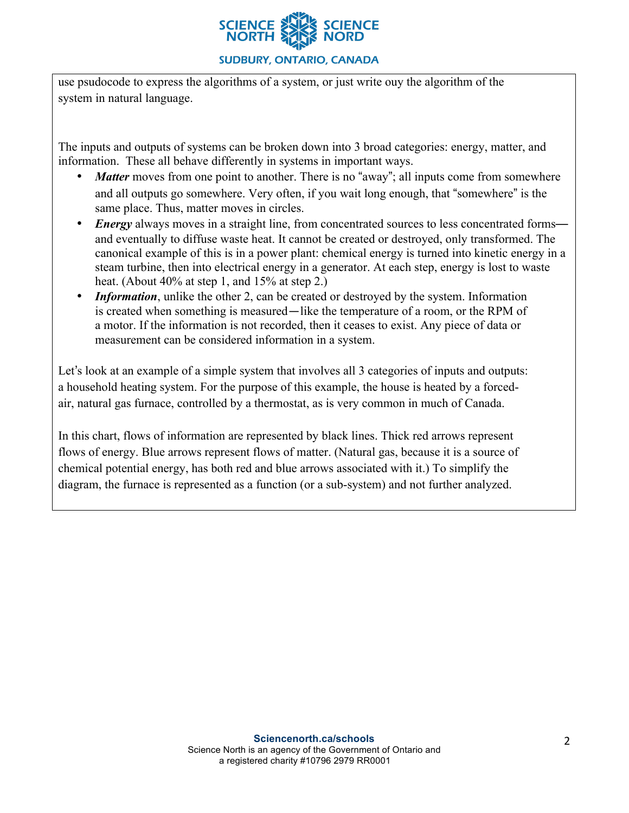

use psudocode to express the algorithms of a system, or just write ouy the algorithm of the system in natural language.

The inputs and outputs of systems can be broken down into 3 broad categories: energy, matter, and information. These all behave differently in systems in important ways.

- *Matter* moves from one point to another. There is no "away"; all inputs come from somewhere and all outputs go somewhere. Very often, if you wait long enough, that "somewhere" is the same place. Thus, matter moves in circles.
- *Energy* always moves in a straight line, from concentrated sources to less concentrated forms and eventually to diffuse waste heat. It cannot be created or destroyed, only transformed. The canonical example of this is in a power plant: chemical energy is turned into kinetic energy in a steam turbine, then into electrical energy in a generator. At each step, energy is lost to waste heat. (About 40% at step 1, and 15% at step 2.)
- *Information*, unlike the other 2, can be created or destroyed by the system. Information is created when something is measured—like the temperature of a room, or the RPM of a motor. If the information is not recorded, then it ceases to exist. Any piece of data or measurement can be considered information in a system.

Let's look at an example of a simple system that involves all 3 categories of inputs and outputs: a household heating system. For the purpose of this example, the house is heated by a forcedair, natural gas furnace, controlled by a thermostat, as is very common in much of Canada.

In this chart, flows of information are represented by black lines. Thick red arrows represent flows of energy. Blue arrows represent flows of matter. (Natural gas, because it is a source of chemical potential energy, has both red and blue arrows associated with it.) To simplify the diagram, the furnace is represented as a function (or a sub-system) and not further analyzed.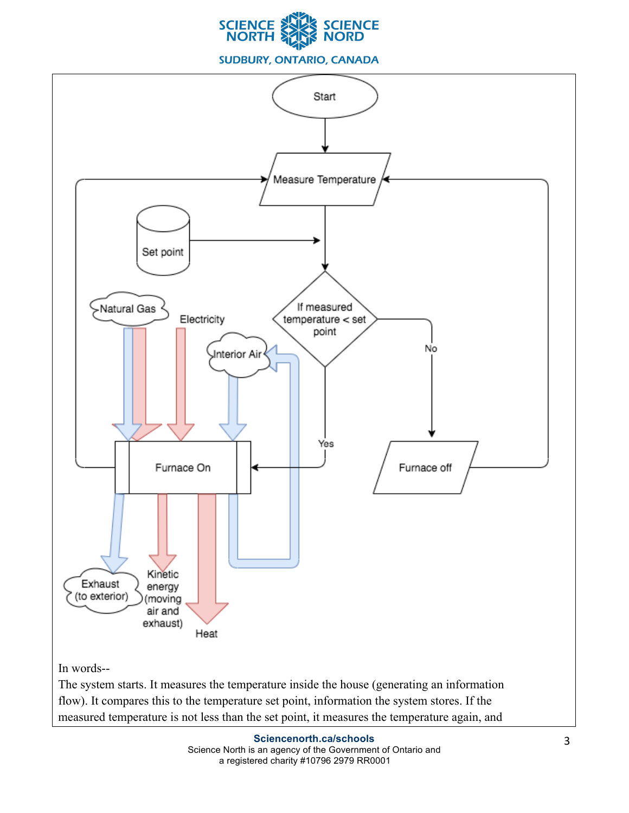



flow). It compares this to the temperature set point, information the system stores. If the measured temperature is not less than the set point, it measures the temperature again, and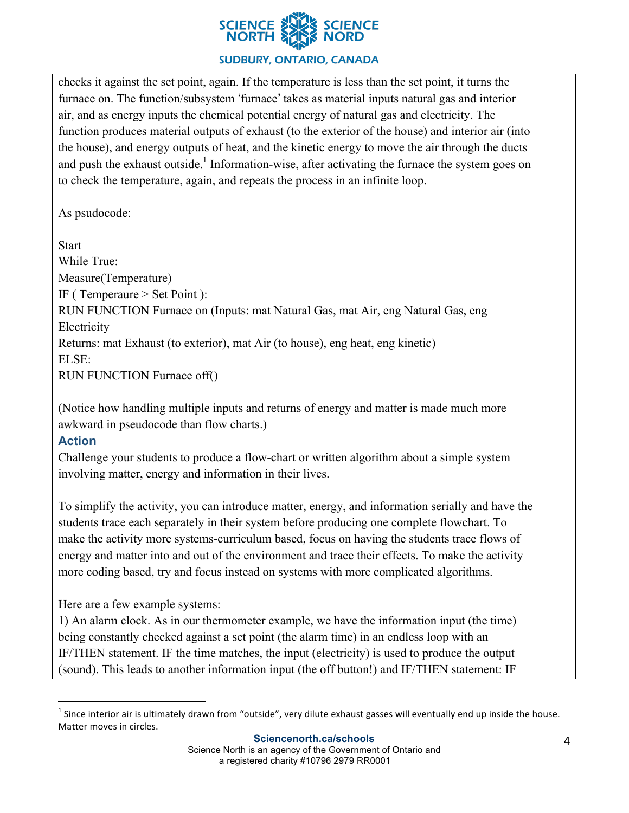

checks it against the set point, again. If the temperature is less than the set point, it turns the furnace on. The function/subsystem 'furnace' takes as material inputs natural gas and interior air, and as energy inputs the chemical potential energy of natural gas and electricity. The function produces material outputs of exhaust (to the exterior of the house) and interior air (into the house), and energy outputs of heat, and the kinetic energy to move the air through the ducts and push the exhaust outside.<sup>1</sup> Information-wise, after activating the furnace the system goes on to check the temperature, again, and repeats the process in an infinite loop.

As psudocode:

**Start** While True: Measure(Temperature) IF ( Temperaure > Set Point ): RUN FUNCTION Furnace on (Inputs: mat Natural Gas, mat Air, eng Natural Gas, eng Electricity Returns: mat Exhaust (to exterior), mat Air (to house), eng heat, eng kinetic) ELSE: RUN FUNCTION Furnace off()

(Notice how handling multiple inputs and returns of energy and matter is made much more awkward in pseudocode than flow charts.)

## **Action**

Challenge your students to produce a flow-chart or written algorithm about a simple system involving matter, energy and information in their lives.

To simplify the activity, you can introduce matter, energy, and information serially and have the students trace each separately in their system before producing one complete flowchart. To make the activity more systems-curriculum based, focus on having the students trace flows of energy and matter into and out of the environment and trace their effects. To make the activity more coding based, try and focus instead on systems with more complicated algorithms.

Here are a few example systems:

1) An alarm clock. As in our thermometer example, we have the information input (the time) being constantly checked against a set point (the alarm time) in an endless loop with an IF/THEN statement. IF the time matches, the input (electricity) is used to produce the output (sound). This leads to another information input (the off button!) and IF/THEN statement: IF

 $^1$  Since interior air is ultimately drawn from "outside", very dilute exhaust gasses will eventually end up inside the house. Matter moves in circles.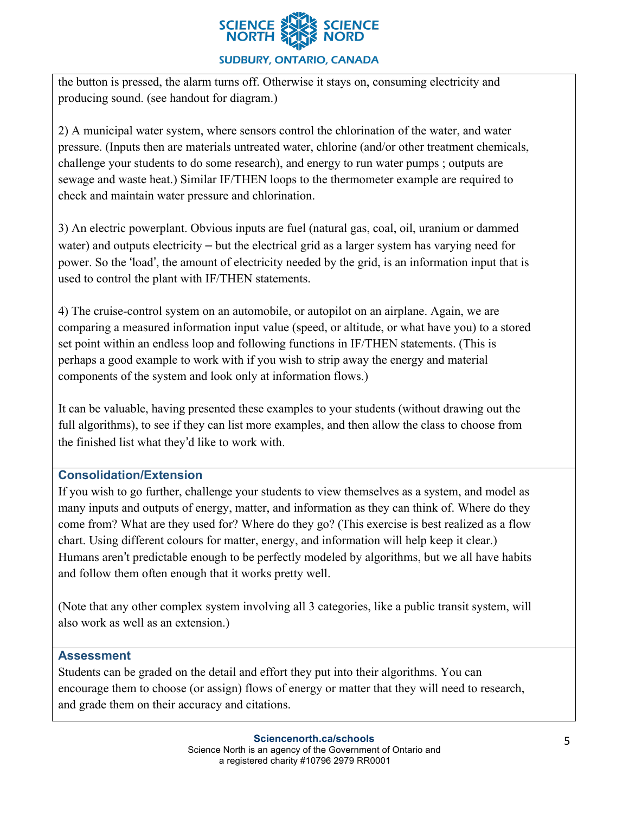

the button is pressed, the alarm turns off. Otherwise it stays on, consuming electricity and producing sound. (see handout for diagram.)

2) A municipal water system, where sensors control the chlorination of the water, and water pressure. (Inputs then are materials untreated water, chlorine (and/or other treatment chemicals, challenge your students to do some research), and energy to run water pumps ; outputs are sewage and waste heat.) Similar IF/THEN loops to the thermometer example are required to check and maintain water pressure and chlorination.

3) An electric powerplant. Obvious inputs are fuel (natural gas, coal, oil, uranium or dammed water) and outputs electricity – but the electrical grid as a larger system has varying need for power. So the 'load', the amount of electricity needed by the grid, is an information input that is used to control the plant with IF/THEN statements.

4) The cruise-control system on an automobile, or autopilot on an airplane. Again, we are comparing a measured information input value (speed, or altitude, or what have you) to a stored set point within an endless loop and following functions in IF/THEN statements. (This is perhaps a good example to work with if you wish to strip away the energy and material components of the system and look only at information flows.)

It can be valuable, having presented these examples to your students (without drawing out the full algorithms), to see if they can list more examples, and then allow the class to choose from the finished list what they'd like to work with.

## **Consolidation/Extension**

If you wish to go further, challenge your students to view themselves as a system, and model as many inputs and outputs of energy, matter, and information as they can think of. Where do they come from? What are they used for? Where do they go? (This exercise is best realized as a flow chart. Using different colours for matter, energy, and information will help keep it clear.) Humans aren't predictable enough to be perfectly modeled by algorithms, but we all have habits and follow them often enough that it works pretty well.

(Note that any other complex system involving all 3 categories, like a public transit system, will also work as well as an extension.)

## **Assessment**

Students can be graded on the detail and effort they put into their algorithms. You can encourage them to choose (or assign) flows of energy or matter that they will need to research, and grade them on their accuracy and citations.